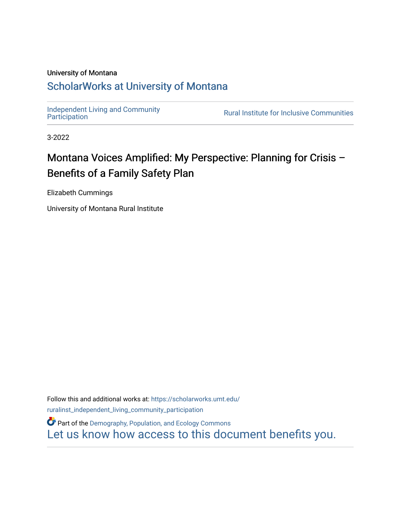#### University of Montana

#### [ScholarWorks at University of Montana](https://scholarworks.umt.edu/)

[Independent Living and Community](https://scholarworks.umt.edu/ruralinst_independent_living_community_participation)<br>Participation

**Rural Institute for Inclusive Communities** 

3-2022

### Montana Voices Amplified: My Perspective: Planning for Crisis – Benefits of a Family Safety Plan

Elizabeth Cummings

University of Montana Rural Institute

Follow this and additional works at: [https://scholarworks.umt.edu/](https://scholarworks.umt.edu/ruralinst_independent_living_community_participation?utm_source=scholarworks.umt.edu%2Fruralinst_independent_living_community_participation%2F81&utm_medium=PDF&utm_campaign=PDFCoverPages) [ruralinst\\_independent\\_living\\_community\\_participation](https://scholarworks.umt.edu/ruralinst_independent_living_community_participation?utm_source=scholarworks.umt.edu%2Fruralinst_independent_living_community_participation%2F81&utm_medium=PDF&utm_campaign=PDFCoverPages) 

**Part of the Demography, Population, and Ecology Commons** [Let us know how access to this document benefits you.](https://goo.gl/forms/s2rGfXOLzz71qgsB2)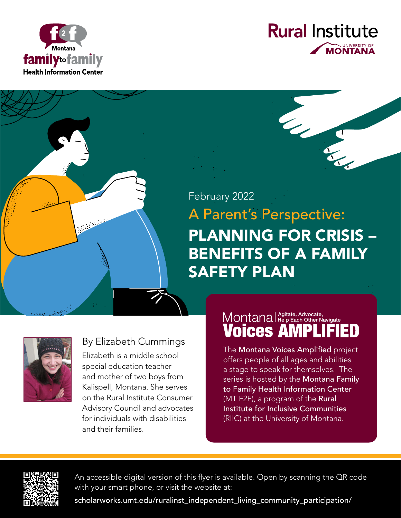



## A Parent's Perspective: PLANNING FOR CRISIS – BENEFITS OF A FAMILY SAFETY PLAN February 2022



#### By Elizabeth Cummings

Elizabeth is a middle school special education teacher and mother of two boys from Kalispell, Montana. She serves on the Rural Institute Consumer Advisory Council and advocates for individuals with disabilities and their families.

#### Montanal Agitate, Advocate, **Voices AN** D

The Montana Voices Amplified project offers people of all ages and abilities a stage to speak for themselves. The series is hosted by the Montana Family to Family Health Information Center (MT F2F), a program of the Rural Institute for Inclusive Communities (RIIC) at the University of Montana.



An accessible digital version of this flyer is available. Open by scanning the QR code with your smart phone, or visit the website at:

[scholarworks.umt.edu/ruralinst\\_independent\\_living\\_community\\_participation/](scholarworks.umt.edu/ruralinst_independent_living_community_participation/)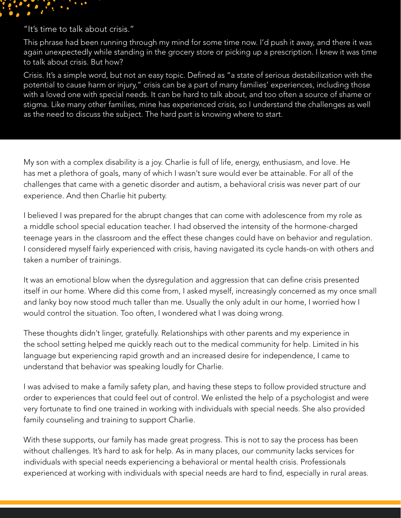

"It's time to talk about crisis."

This phrase had been running through my mind for some time now. I'd push it away, and there it was again unexpectedly while standing in the grocery store or picking up a prescription. I knew it was time to talk about crisis. But how?

Crisis. It's a simple word, but not an easy topic. Defined as "a state of serious destabilization with the potential to cause harm or injury," crisis can be a part of many families' experiences, including those with a loved one with special needs. It can be hard to talk about, and too often a source of shame or stigma. Like many other families, mine has experienced crisis, so I understand the challenges as well as the need to discuss the subject. The hard part is knowing where to start.

My son with a complex disability is a joy. Charlie is full of life, energy, enthusiasm, and love. He has met a plethora of goals, many of which I wasn't sure would ever be attainable. For all of the challenges that came with a genetic disorder and autism, a behavioral crisis was never part of our experience. And then Charlie hit puberty.

I believed I was prepared for the abrupt changes that can come with adolescence from my role as a middle school special education teacher. I had observed the intensity of the hormone-charged teenage years in the classroom and the effect these changes could have on behavior and regulation. I considered myself fairly experienced with crisis, having navigated its cycle hands-on with others and taken a number of trainings.

It was an emotional blow when the dysregulation and aggression that can define crisis presented itself in our home. Where did this come from, I asked myself, increasingly concerned as my once small and lanky boy now stood much taller than me. Usually the only adult in our home, I worried how I would control the situation. Too often, I wondered what I was doing wrong.

These thoughts didn't linger, gratefully. Relationships with other parents and my experience in the school setting helped me quickly reach out to the medical community for help. Limited in his language but experiencing rapid growth and an increased desire for independence, I came to understand that behavior was speaking loudly for Charlie.

I was advised to make a family safety plan, and having these steps to follow provided structure and order to experiences that could feel out of control. We enlisted the help of a psychologist and were very fortunate to find one trained in working with individuals with special needs. She also provided family counseling and training to support Charlie.

With these supports, our family has made great progress. This is not to say the process has been without challenges. It's hard to ask for help. As in many places, our community lacks services for individuals with special needs experiencing a behavioral or mental health crisis. Professionals experienced at working with individuals with special needs are hard to find, especially in rural areas.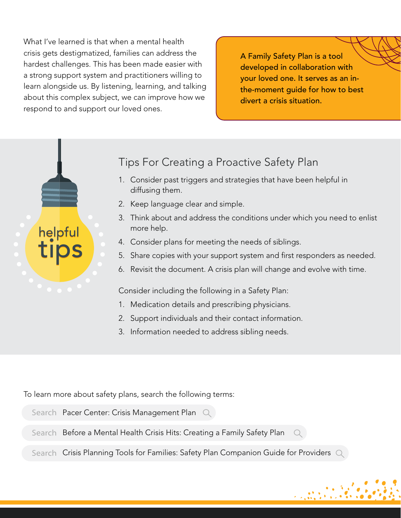What I've learned is that when a mental health crisis gets destigmatized, families can address the hardest challenges. This has been made easier with a strong support system and practitioners willing to learn alongside us. By listening, learning, and talking about this complex subject, we can improve how we respond to and support our loved ones.

A Family Safety Plan is a tool developed in collaboration with your loved one. It serves as an inthe-moment guide for how to best divert a crisis situation.



#### Tips For Creating a Proactive Safety Plan

- 1. Consider past triggers and strategies that have been helpful in diffusing them.
- 2. Keep language clear and simple.
- 3. Think about and address the conditions under which you need to enlist more help.
- 4. Consider plans for meeting the needs of siblings.
- 5. Share copies with your support system and first responders as needed.
- 6. Revisit the document. A crisis plan will change and evolve with time.

Consider including the following in a Safety Plan:

- 1. Medication details and prescribing physicians.
- 2. Support individuals and their contact information.
- 3. Information needed to address sibling needs.

To learn more about safety plans, search the following terms:

- Search Pacer Center: Crisis Management Plan Q
- Search Before a Mental Health Crisis Hits: Creating a Family Safety Plan  $\bigcirc$
- Search Crisis Planning Tools for Families: Safety Plan Companion Guide for Providers  $\textcircled{Q}$